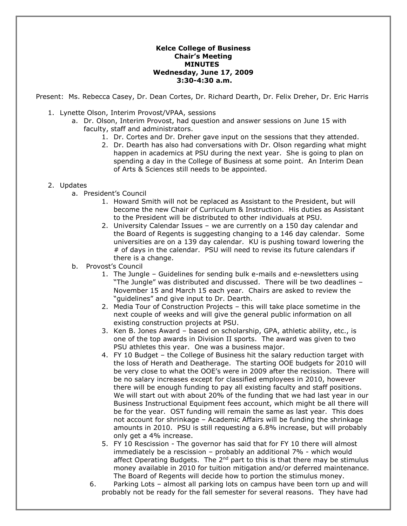## **Kelce College of Business Chair's Meeting MINUTES Wednesday, June 17, 2009 3:30-4:30 a.m.**

Present: Ms. Rebecca Casey, Dr. Dean Cortes, Dr. Richard Dearth, Dr. Felix Dreher, Dr. Eric Harris

- 1. Lynette Olson, Interim Provost/VPAA, sessions
	- a. Dr. Olson, Interim Provost, had question and answer sessions on June 15 with faculty, staff and administrators.
		- 1. Dr. Cortes and Dr. Dreher gave input on the sessions that they attended.
		- 2. Dr. Dearth has also had conversations with Dr. Olson regarding what might happen in academics at PSU during the next year. She is going to plan on spending a day in the College of Business at some point. An Interim Dean of Arts & Sciences still needs to be appointed.

## 2. Updates

- a. President's Council
	- 1. Howard Smith will not be replaced as Assistant to the President, but will become the new Chair of Curriculum & Instruction. His duties as Assistant to the President will be distributed to other individuals at PSU.
	- 2. University Calendar Issues we are currently on a 150 day calendar and the Board of Regents is suggesting changing to a 146 day calendar. Some universities are on a 139 day calendar. KU is pushing toward lowering the # of days in the calendar. PSU will need to revise its future calendars if there is a change.
- b. Provost's Council
	- 1. The Jungle Guidelines for sending bulk e-mails and e-newsletters using "The Jungle" was distributed and discussed. There will be two deadlines – November 15 and March 15 each year. Chairs are asked to review the "guidelines" and give input to Dr. Dearth.
	- 2. Media Tour of Construction Projects this will take place sometime in the next couple of weeks and will give the general public information on all existing construction projects at PSU.
	- 3. Ken B. Jones Award based on scholarship, GPA, athletic ability, etc., is one of the top awards in Division II sports. The award was given to two PSU athletes this year. One was a business major.
	- 4. FY 10 Budget the College of Business hit the salary reduction target with the loss of Herath and Deatherage. The starting OOE budgets for 2010 will be very close to what the OOE's were in 2009 after the recission. There will be no salary increases except for classified employees in 2010, however there will be enough funding to pay all existing faculty and staff positions. We will start out with about 20% of the funding that we had last year in our Business Instructional Equipment fees account, which might be all there will be for the year. OST funding will remain the same as last year. This does not account for shrinkage – Academic Affairs will be funding the shrinkage amounts in 2010. PSU is still requesting a 6.8% increase, but will probably only get a 4% increase.
	- 5. FY 10 Rescission The governor has said that for FY 10 there will almost immediately be a rescission – probably an additional 7% - which would affect Operating Budgets. The  $2^{nd}$  part to this is that there may be stimulus money available in 2010 for tuition mitigation and/or deferred maintenance. The Board of Regents will decide how to portion the stimulus money.
	- 6. Parking Lots almost all parking lots on campus have been torn up and will probably not be ready for the fall semester for several reasons. They have had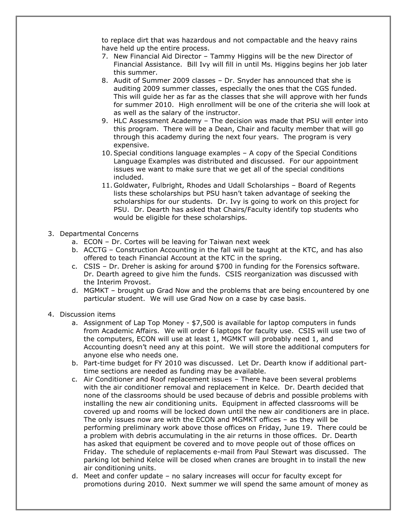to replace dirt that was hazardous and not compactable and the heavy rains have held up the entire process.

- 7. New Financial Aid Director Tammy Higgins will be the new Director of Financial Assistance. Bill Ivy will fill in until Ms. Higgins begins her job later this summer.
- 8. Audit of Summer 2009 classes Dr. Snyder has announced that she is auditing 2009 summer classes, especially the ones that the CGS funded. This will guide her as far as the classes that she will approve with her funds for summer 2010. High enrollment will be one of the criteria she will look at as well as the salary of the instructor.
- 9. HLC Assessment Academy The decision was made that PSU will enter into this program. There will be a Dean, Chair and faculty member that will go through this academy during the next four years. The program is very expensive.
- 10.Special conditions language examples A copy of the Special Conditions Language Examples was distributed and discussed. For our appointment issues we want to make sure that we get all of the special conditions included.
- 11. Goldwater, Fulbright, Rhodes and Udall Scholarships Board of Regents lists these scholarships but PSU hasn't taken advantage of seeking the scholarships for our students. Dr. Ivy is going to work on this project for PSU. Dr. Dearth has asked that Chairs/Faculty identify top students who would be eligible for these scholarships.
- 3. Departmental Concerns
	- a. ECON Dr. Cortes will be leaving for Taiwan next week
	- b. ACCTG Construction Accounting in the fall will be taught at the KTC, and has also offered to teach Financial Account at the KTC in the spring.
	- c. CSIS Dr. Dreher is asking for around \$700 in funding for the Forensics software. Dr. Dearth agreed to give him the funds. CSIS reorganization was discussed with the Interim Provost.
	- d. MGMKT brought up Grad Now and the problems that are being encountered by one particular student. We will use Grad Now on a case by case basis.
- 4. Discussion items
	- a. Assignment of Lap Top Money \$7,500 is available for laptop computers in funds from Academic Affairs. We will order 6 laptops for faculty use. CSIS will use two of the computers, ECON will use at least 1, MGMKT will probably need 1, and Accounting doesn't need any at this point. We will store the additional computers for anyone else who needs one.
	- b. Part-time budget for FY 2010 was discussed. Let Dr. Dearth know if additional parttime sections are needed as funding may be available.
	- c. Air Conditioner and Roof replacement issues There have been several problems with the air conditioner removal and replacement in Kelce. Dr. Dearth decided that none of the classrooms should be used because of debris and possible problems with installing the new air conditioning units. Equipment in affected classrooms will be covered up and rooms will be locked down until the new air conditioners are in place. The only issues now are with the ECON and MGMKT offices – as they will be performing preliminary work above those offices on Friday, June 19. There could be a problem with debris accumulating in the air returns in those offices. Dr. Dearth has asked that equipment be covered and to move people out of those offices on Friday. The schedule of replacements e-mail from Paul Stewart was discussed. The parking lot behind Kelce will be closed when cranes are brought in to install the new air conditioning units.
	- d. Meet and confer update no salary increases will occur for faculty except for promotions during 2010. Next summer we will spend the same amount of money as